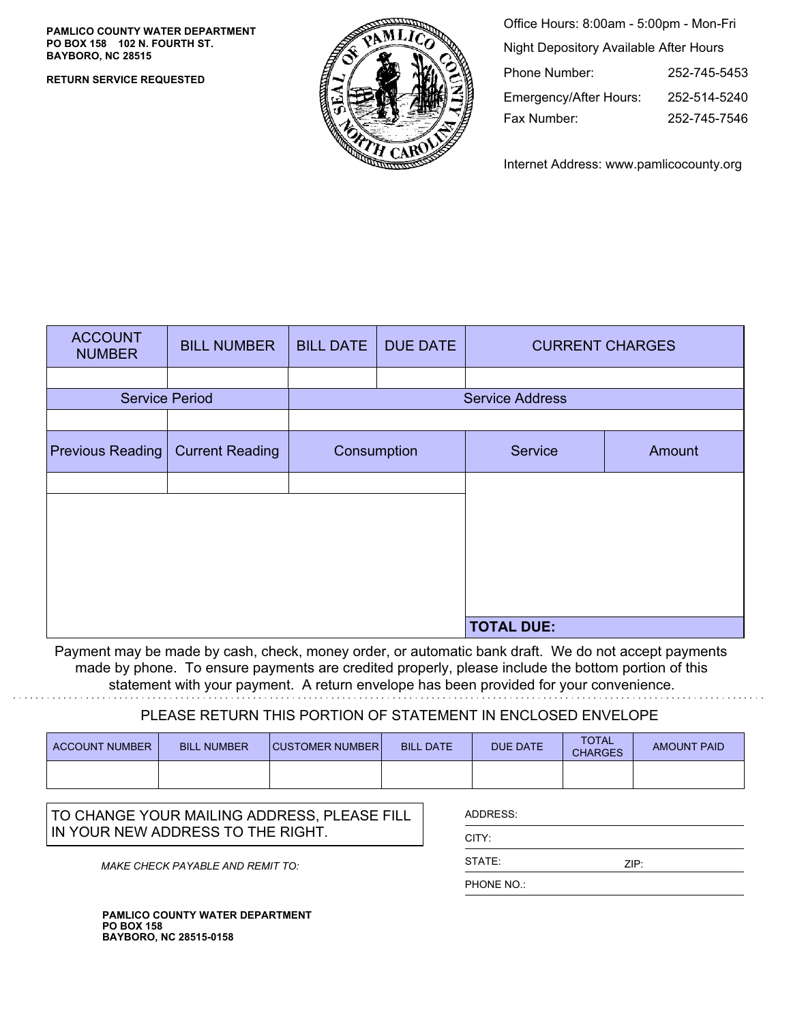**PAMLICO COUNTY WATER DEPARTMENT PO BOX 158 102 N. FOURTH ST. BAYBORO, NC 28515**

**RETURN SERVICE REQUESTED**



| Office Hours: 8:00am - 5:00pm - Mon-Fri       |              |  |  |  |
|-----------------------------------------------|--------------|--|--|--|
| <b>Night Depository Available After Hours</b> |              |  |  |  |
| Phone Number:                                 | 252-745-5453 |  |  |  |
| Emergency/After Hours:                        | 252-514-5240 |  |  |  |
| Fax Number:                                   | 252-745-7546 |  |  |  |

Internet Address: www.pamlicocounty.org

| <b>ACCOUNT</b><br><b>NUMBER</b> | <b>BILL NUMBER</b>     | <b>BILL DATE</b>       | <b>DUE DATE</b> | <b>CURRENT CHARGES</b> |        |
|---------------------------------|------------------------|------------------------|-----------------|------------------------|--------|
|                                 |                        |                        |                 |                        |        |
| <b>Service Period</b>           |                        | <b>Service Address</b> |                 |                        |        |
|                                 |                        |                        |                 |                        |        |
| <b>Previous Reading</b>         | <b>Current Reading</b> | Consumption            |                 | Service                | Amount |
|                                 |                        |                        |                 |                        |        |
|                                 |                        |                        |                 |                        |        |
|                                 |                        |                        |                 |                        |        |
|                                 |                        |                        |                 |                        |        |
|                                 |                        |                        |                 |                        |        |
|                                 |                        |                        |                 |                        |        |
|                                 |                        |                        |                 | <b>TOTAL DUE:</b>      |        |

Payment may be made by cash, check, money order, or automatic bank draft. We do not accept payments made by phone. To ensure payments are credited properly, please include the bottom portion of this statement with your payment. A return envelope has been provided for your convenience.

## PLEASE RETURN THIS PORTION OF STATEMENT IN ENCLOSED ENVELOPE

| ACCOUNT NUMBER | <b>BILL NUMBER</b> | <b>CUSTOMER NUMBER</b> | <b>BILL DATE</b> | <b>DUE DATE</b> | <b>TOTAL</b><br><b>CHARGES</b> | <b>AMOUNT PAID</b> |
|----------------|--------------------|------------------------|------------------|-----------------|--------------------------------|--------------------|
|                |                    |                        |                  |                 |                                |                    |

TO CHANGE YOUR MAILING ADDRESS, PLEASE FILL IN YOUR NEW ADDRESS TO THE RIGHT.

MAKE CHECK PAYABLE AND REMIT TO:

**PAMLICO COUNTY WATER DEPARTMENT PO BOX 158 BAYBORO, NC 28515-0158**

| ADDRESS: |      |  |
|----------|------|--|
| CITY:    |      |  |
| STATE:   | ZIP: |  |
| DUONE NO |      |  |

PHONE NO.: